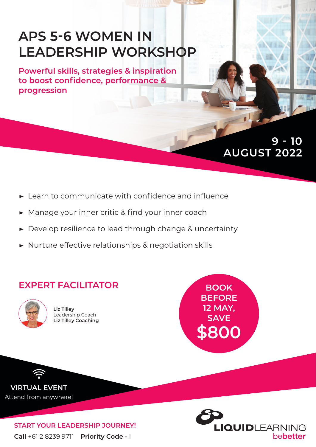# **APS 5-6 WOMEN IN LEADERSHIP WORKSHOP**

**Powerful skills, strategies & inspiration to boost confidence, performance & progression**

## **AUGUST 2022 9 - 10**

- **▶** Learn to communicate with confidence and influence
- **▶** Manage your inner critic & find your inner coach
- **▶** Develop resilience to lead through change & uncertainty
- **▶** Nurture effective relationships & negotiation skills

### **EXPERT FACILITATOR**



**Liz Tilley** Leadership Coach **Liz Tilley Coaching**

**BOOK BEFORE 12 MAY, SAVE \$800**

**VIRTUAL EVENT** Attend from anywhere!

> **Call** +61 2 8239 9711 **Priority Code -** I **START YOUR LEADERSHIP JOURNEY!**

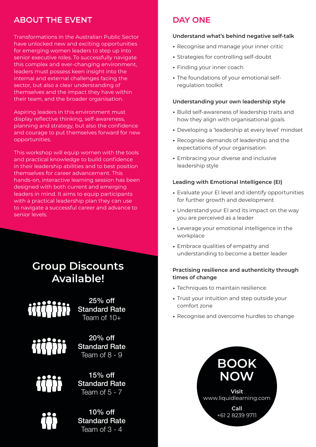### **ABOUT THE EVENT**

Transformations in the Australian Public Sector have unlocked new and exciting opportunities for emerging women leaders to step up into senior executive roles. To successfully navigate this complex and ever-changing environment, leaders must possess keen insight into the internal and external challenges facing the sector, but also a clear understanding of themselves and the impact they have within their team, and the broader organisation.

Aspiring leaders in this environment must display reflective thinking, self-awareness, planning and strategy, but also the confidence and courage to put themselves forward for new opportunities.

This workshop will equip women with the tools and practical knowledge to build confidence in their leadership abilities and to best position themselves for career advancement. This hands-on, interactive learning session has been designed with both current and emerging leaders in mind. It aims to equip participants with a practical leadership plan they can use to navigate a successful career and advance to senior levels.

### **Group Discounts Available!**

25% off Standard Rate Team of 10+



20% off Standard Rate Team of 8 - 9



15% off Standard Rate Team of  $5 - 7$ 

10% off Standard Rate Team of  $3 - 4$ 

### **DAY ONE**

#### **Understand what's behind negative self-talk**

- **▶** Recognise and manage your inner critic
- **▶** Strategies for controlling self-doubt
- **▶** Finding your inner coach
- **▶** The foundations of your emotional selfregulation toolkit

#### **Understanding your own leadership style**

- **▶** Build self-awareness of leadership traits and how they align with organisational goals
- **▶** Developing a 'leadership at every level' mindset
- **▶** Recognise demands of leadership and the expectations of your organisation
- **▶** Embracing your diverse and inclusive leadership style

#### **Leading with Emotional Intelligence (EI)**

- **▶** Evaluate your EI level and identify opportunities for further growth and development
- **▶** Understand your EI and its impact on the way you are perceived as a leader
- **▶** Leverage your emotional intelligence in the workplace
- **▶** Embrace qualities of empathy and understanding to become a better leader

#### **Practising resilience and authenticity through times of change**

- **▶** Techniques to maintain resilience
- **▶** Trust your intuition and step outside your comfort zone
- **▶** Recognise and overcome hurdles to change

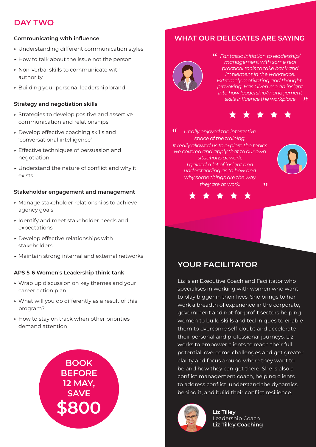### **DAY TWO**

#### **Communicating with influence**

- **▶** Understanding different communication styles
- **▶** How to talk about the issue not the person
- **▶** Non-verbal skills to communicate with authority
- **▶** Building your personal leadership brand

#### **Strategy and negotiation skills**

- **▶** Strategies to develop positive and assertive communication and relationships
- **▶** Develop effective coaching skills and 'conversational intelligence'
- **▶** Effective techniques of persuasion and negotiation
- **▶** Understand the nature of conflict and why it exists

#### **Stakeholder engagement and management**

- **▶** Manage stakeholder relationships to achieve agency goals
- **▶** Identify and meet stakeholder needs and expectations
- **▶** Develop effective relationships with stakeholders
- **▶** Maintain strong internal and external networks

### **APS 5-6 Women's Leadership think-tank**

- **▶** Wrap up discussion on key themes and your career action plan
- **▶** What will you do differently as a result of this program?
- **▶** How to stay on track when other priorities demand attention



### **WHAT OUR DELEGATES ARE SAYING**



*Fantastic initiation to leadership/ management with some real practical tools to take back and implement in the workplace. Extremely motivating and thoughtprovoking. Has Given me an insight into how leadership/management skills influence the workplace*  $99$ 



 $\epsilon$ *I really enjoyed the interactive space of the training. It really allowed us to explore the topics we covered and apply that to our own situations at work. I gained a lot of insight and understanding as to how and why some things are the way they are at work.*  $, ,$ 





### **YOUR FACILITATOR**

Liz is an Executive Coach and Facilitator who specialises in working with women who want to play bigger in their lives. She brings to her work a breadth of experience in the corporate, government and not-for-profit sectors helping women to build skills and techniques to enable them to overcome self-doubt and accelerate their personal and professional journeys. Liz works to empower clients to reach their full potential, overcome challenges and get greater clarity and focus around where they want to be and how they can get there. She is also a conflict management coach, helping clients to address conflict, understand the dynamics behind it, and build their conflict resilience.



**Liz Tilley** Leadership Coach **Liz Tilley Coaching**